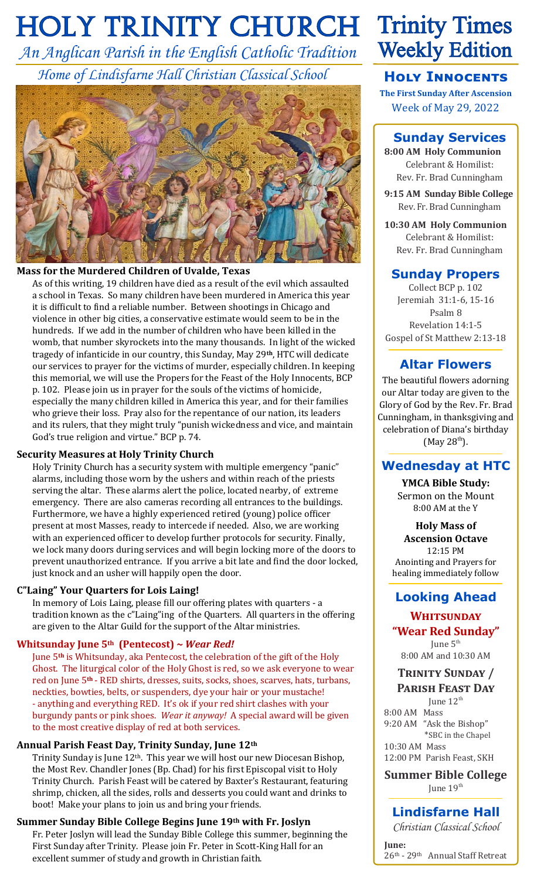# **HOLY TRINITY CHURCH Trinity Times**

*An Anglican Parish in the English Catholic Tradition Home of Lindisfarne Hall Christian Classical School*



### **Mass for the Murdered Children of Uvalde, Texas**

As of this writing, 19 children have died as a result of the evil which assaulted a school in Texas. So many children have been murdered in America this year it is difficult to find a reliable number. Between shootings in Chicago and violence in other big cities, a conservative estimate would seem to be in the hundreds. If we add in the number of children who have been killed in the womb, that number skyrockets into the many thousands. In light of the wicked tragedy of infanticide in our country, this Sunday, May 29**th**, HTC will dedicate our services to prayer for the victims of murder, especially children. In keeping this memorial, we will use the Propers for the Feast of the Holy Innocents, BCP p. 102. Please join us in prayer for the souls of the victims of homicide, especially the many children killed in America this year, and for their families who grieve their loss. Pray also for the repentance of our nation, its leaders and its rulers, that they might truly "punish wickedness and vice, and maintain God's true religion and virtue." BCP p. 74.

#### **Security Measures at Holy Trinity Church**

Holy Trinity Church has a security system with multiple emergency "panic" alarms, including those worn by the ushers and within reach of the priests serving the altar. These alarms alert the police, located nearby, of extreme emergency. There are also cameras recording all entrances to the buildings. Furthermore, we have a highly experienced retired (young) police officer present at most Masses, ready to intercede if needed. Also, we are working with an experienced officer to develop further protocols for security. Finally, we lock many doors during services and will begin locking more of the doors to prevent unauthorized entrance. If you arrive a bit late and find the door locked, just knock and an usher will happily open the door.

### **C"Laing" Your Quarters for Lois Laing!**

In memory of Lois Laing, please fill our offering plates with quarters - a tradition known as the c"Laing"ing of the Quarters. All quarters in the offering are given to the Altar Guild for the support of the Altar ministries.

### **Whitsunday June 5th (Pentecost) ~** *Wear Red!*

June 5**th** is Whitsunday, aka Pentecost, the celebration of the gift of the Holy Ghost. The liturgical color of the Holy Ghost is red, so we ask everyone to wear red on June 5**th** - RED shirts, dresses, suits, socks, shoes, scarves, hats, turbans, neckties, bowties, belts, or suspenders, dye your hair or your mustache! - anything and everything RED. It's ok if your red shirt clashes with your burgundy pants or pink shoes. *Wear it anyway!* A special award will be given to the most creative display of red at both services.

### **Annual Parish Feast Day, Trinity Sunday, June 12th**

Trinity Sunday is June 12th. This year we will host our new Diocesan Bishop, the Most Rev. Chandler Jones (Bp. Chad) for his first Episcopal visit to Holy Trinity Church. Parish Feast will be catered by Baxter's Restaurant, featuring shrimp, chicken, all the sides, rolls and desserts you could want and drinks to boot! Make your plans to join us and bring your friends.

#### **Summer Sunday Bible College Begins June 19th with Fr. Joslyn**

Fr. Peter Joslyn will lead the Sunday Bible College this summer, beginning the First Sunday after Trinity. Please join Fr. Peter in Scott-King Hall for an excellent summer of study and growth in Christian faith.

# **Weekly Edition**

# **Holy Innocents**

**The First Sunday After Ascension** Week of May 29, 2022

# **Sunday Services**

**8:00 AM Holy Communion** Celebrant & Homilist: Rev. Fr. Brad Cunningham

**9:15 AM Sunday Bible College** Rev. Fr. Brad Cunningham

**10:30 AM Holy Communion** Celebrant & Homilist: Rev. Fr. Brad Cunningham

## **Sunday Propers**

Collect BCP p. 102 Jeremiah 31:1-6, 15-16 Psalm 8 Revelation 14:1-5 Gospel of St Matthew 2:13-18

# **Altar Flowers**

The beautiful flowers adorning our Altar today are given to the Glory of God by the Rev. Fr. Brad Cunningham, in thanksgiving and celebration of Diana's birthday  $(May 28<sup>th</sup>)$ .

# **Wednesday at HTC**

**YMCA Bible Study:** Sermon on the Mount 8:00 AM at the Y

**Holy Mass of Ascension Octave** 12:15 PM Anointing and Prayers for healing immediately follow

# **Looking Ahead**

#### **Whitsunday "Wear Red Sunday"**

June 5<sup>th</sup> 8:00 AM and 10:30 AM

### **Trinity Sunday / Parish Feast Day**

June  $12<sup>th</sup>$ 8:00 AM Mass 9:20 AM "Ask the Bishop" \*SBC in the Chapel 10:30 AM Mass 12:00 PM Parish Feast, SKH

**Summer Bible College** June  $19<sup>th</sup>$ 

# **Lindisfarne Hall**

*Christian Classical School*

**June:** 26th - 29th Annual Staff Retreat